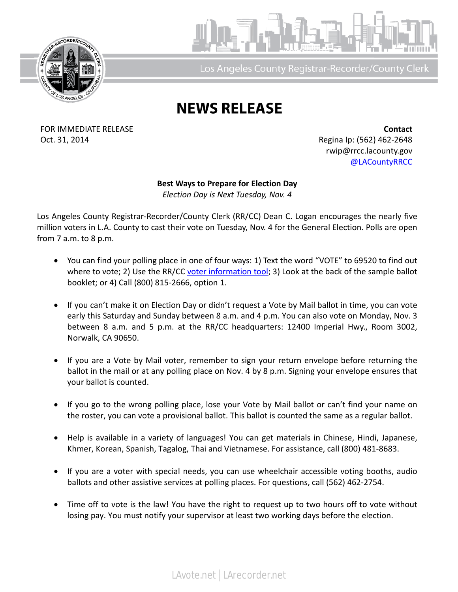



Los Angeles County Registrar-Recorder/County Clerk

## **NEWS RELEASE**

FOR IMMEDIATE RELEASE **Contact** Oct. 31, 2014 **Regina Ip: (562)** 462-2648

rwip@rrcc.lacounty.gov [@LACountyRRCC](https://twitter.com/lacountyrrcc)

**Best Ways to Prepare for Election Day** *Election Day is Next Tuesday, Nov. 4*

Los Angeles County Registrar-Recorder/County Clerk (RR/CC) Dean C. Logan encourages the nearly five million voters in L.A. County to cast their vote on Tuesday, Nov. 4 for the General Election. Polls are open from 7 a.m. to 8 p.m.

- You can find your polling place in one of four ways: 1) Text the word "VOTE" to 69520 to find out where to vote; 2) Use the RR/CC [voter information tool;](https://www.lavote.net/home/voting-elections/current-elections/find-my-election-information) 3) Look at the back of the sample ballot booklet; or 4) Call (800) 815-2666, option 1.
- If you can't make it on Election Day or didn't request a Vote by Mail ballot in time, you can vote early this Saturday and Sunday between 8 a.m. and 4 p.m. You can also vote on Monday, Nov. 3 between 8 a.m. and 5 p.m. at the RR/CC headquarters: 12400 Imperial Hwy., Room 3002, Norwalk, CA 90650.
- If you are a Vote by Mail voter, remember to sign your return envelope before returning the ballot in the mail or at any polling place on Nov. 4 by 8 p.m. Signing your envelope ensures that your ballot is counted.
- If you go to the wrong polling place, lose your Vote by Mail ballot or can't find your name on the roster, you can vote a provisional ballot. This ballot is counted the same as a regular ballot.
- Help is available in a variety of languages! You can get materials in Chinese, Hindi, Japanese, Khmer, Korean, Spanish, Tagalog, Thai and Vietnamese. For assistance, call (800) 481-8683.
- If you are a voter with special needs, you can use wheelchair accessible voting booths, audio ballots and other assistive services at polling places. For questions, call (562) 462-2754.
- Time off to vote is the law! You have the right to request up to two hours off to vote without losing pay. You must notify your supervisor at least two working days before the election.